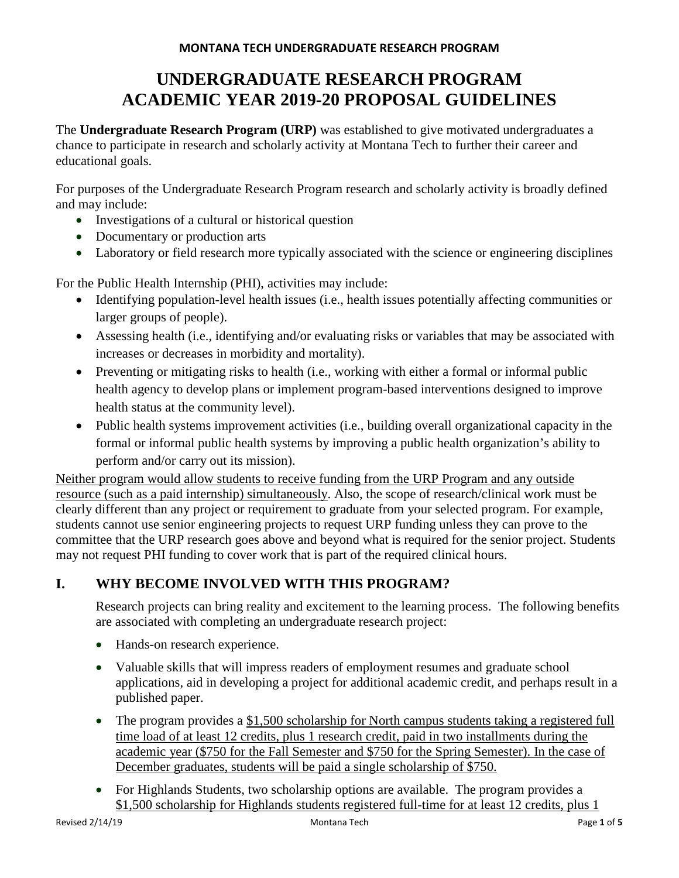# **UNDERGRADUATE RESEARCH PROGRAM ACADEMIC YEAR 2019-20 PROPOSAL GUIDELINES**

The **Undergraduate Research Program (URP)** was established to give motivated undergraduates a chance to participate in research and scholarly activity at Montana Tech to further their career and educational goals.

For purposes of the Undergraduate Research Program research and scholarly activity is broadly defined and may include:

- Investigations of a cultural or historical question
- Documentary or production arts
- Laboratory or field research more typically associated with the science or engineering disciplines

For the Public Health Internship (PHI), activities may include:

- Identifying population-level health issues (i.e., health issues potentially affecting communities or larger groups of people).
- Assessing health (i.e., identifying and/or evaluating risks or variables that may be associated with increases or decreases in morbidity and mortality).
- Preventing or mitigating risks to health (i.e., working with either a formal or informal public health agency to develop plans or implement program-based interventions designed to improve health status at the community level).
- Public health systems improvement activities (i.e., building overall organizational capacity in the formal or informal public health systems by improving a public health organization's ability to perform and/or carry out its mission).

Neither program would allow students to receive funding from the URP Program and any outside resource (such as a paid internship) simultaneously. Also, the scope of research/clinical work must be clearly different than any project or requirement to graduate from your selected program. For example, students cannot use senior engineering projects to request URP funding unless they can prove to the committee that the URP research goes above and beyond what is required for the senior project. Students may not request PHI funding to cover work that is part of the required clinical hours.

# **I. WHY BECOME INVOLVED WITH THIS PROGRAM?**

Research projects can bring reality and excitement to the learning process. The following benefits are associated with completing an undergraduate research project:

- Hands-on research experience.
- Valuable skills that will impress readers of employment resumes and graduate school applications, aid in developing a project for additional academic credit, and perhaps result in a published paper.
- The program provides a \$1,500 scholarship for North campus students taking a registered full time load of at least 12 credits, plus 1 research credit, paid in two installments during the academic year (\$750 for the Fall Semester and \$750 for the Spring Semester). In the case of December graduates, students will be paid a single scholarship of \$750.
- For Highlands Students, two scholarship options are available. The program provides a \$1,500 scholarship for Highlands students registered full-time for at least 12 credits, plus 1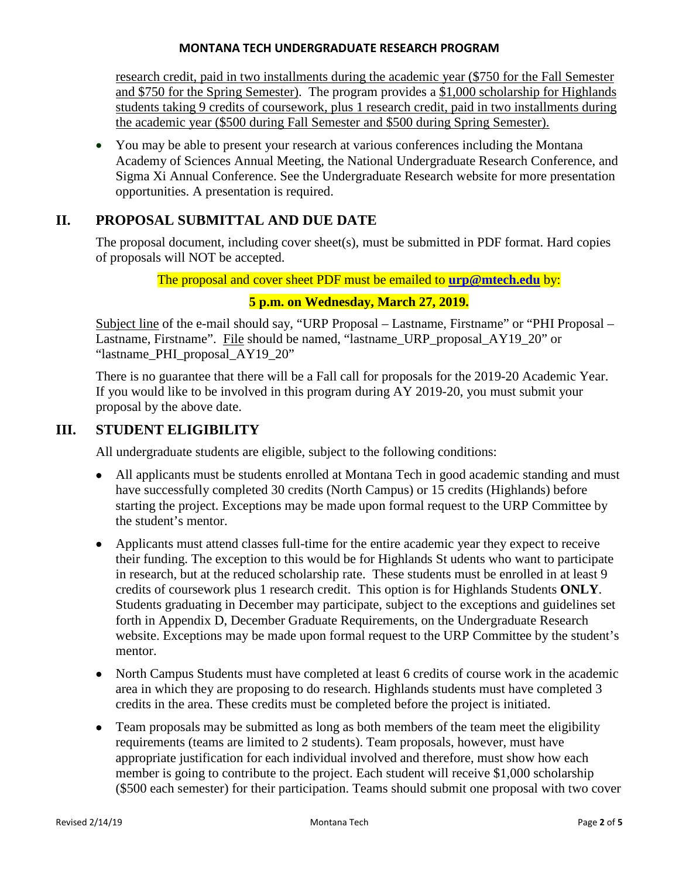research credit, paid in two installments during the academic year (\$750 for the Fall Semester and \$750 for the Spring Semester). The program provides a \$1,000 scholarship for Highlands students taking 9 credits of coursework, plus 1 research credit, paid in two installments during the academic year (\$500 during Fall Semester and \$500 during Spring Semester).

• You may be able to present your research at various conferences including the Montana Academy of Sciences Annual Meeting, the National Undergraduate Research Conference, and Sigma Xi Annual Conference. See the Undergraduate Research website for more presentation opportunities. A presentation is required.

### **II. PROPOSAL SUBMITTAL AND DUE DATE**

The proposal document, including cover sheet(s), must be submitted in PDF format. Hard copies of proposals will NOT be accepted.

The proposal and cover sheet PDF must be emailed to **[urp@mtech.edu](mailto:urp@mtech.edu)** by:

#### **5 p.m. on Wednesday, March 27, 2019.**

Subject line of the e-mail should say, "URP Proposal – Lastname, Firstname" or "PHI Proposal – Lastname, Firstname". File should be named, "lastname\_URP\_proposal\_AY19\_20" or "lastname\_PHI\_proposal\_AY19\_20"

There is no guarantee that there will be a Fall call for proposals for the 2019-20 Academic Year. If you would like to be involved in this program during AY 2019-20, you must submit your proposal by the above date.

### **III. STUDENT ELIGIBILITY**

All undergraduate students are eligible, subject to the following conditions:

- All applicants must be students enrolled at Montana Tech in good academic standing and must have successfully completed 30 credits (North Campus) or 15 credits (Highlands) before starting the project. Exceptions may be made upon formal request to the URP Committee by the student's mentor.
- Applicants must attend classes full-time for the entire academic year they expect to receive their funding. The exception to this would be for Highlands St udents who want to participate in research, but at the reduced scholarship rate. These students must be enrolled in at least 9 credits of coursework plus 1 research credit. This option is for Highlands Students **ONLY**. Students graduating in December may participate, subject to the exceptions and guidelines set forth in Appendix D, December Graduate Requirements, on the Undergraduate Research website. Exceptions may be made upon formal request to the URP Committee by the student's mentor.
- North Campus Students must have completed at least 6 credits of course work in the academic area in which they are proposing to do research. Highlands students must have completed 3 credits in the area. These credits must be completed before the project is initiated.
- Team proposals may be submitted as long as both members of the team meet the eligibility requirements (teams are limited to 2 students). Team proposals, however, must have appropriate justification for each individual involved and therefore, must show how each member is going to contribute to the project. Each student will receive \$1,000 scholarship (\$500 each semester) for their participation. Teams should submit one proposal with two cover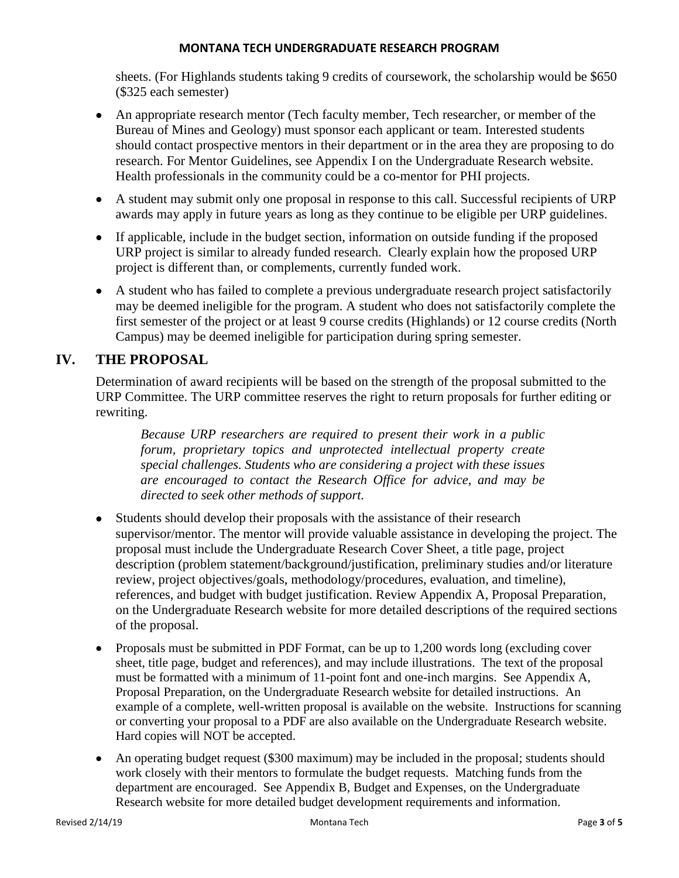sheets. (For Highlands students taking 9 credits of coursework, the scholarship would be \$650 (\$325 each semester)

- An appropriate research mentor (Tech faculty member, Tech researcher, or member of the Bureau of Mines and Geology) must sponsor each applicant or team. Interested students should contact prospective mentors in their department or in the area they are proposing to do research. For Mentor Guidelines, see Appendix I on the Undergraduate Research website. Health professionals in the community could be a co-mentor for PHI projects.
- A student may submit only one proposal in response to this call. Successful recipients of URP awards may apply in future years as long as they continue to be eligible per URP guidelines.
- If applicable, include in the budget section, information on outside funding if the proposed URP project is similar to already funded research. Clearly explain how the proposed URP project is different than, or complements, currently funded work.
- A student who has failed to complete a previous undergraduate research project satisfactorily may be deemed ineligible for the program. A student who does not satisfactorily complete the first semester of the project or at least 9 course credits (Highlands) or 12 course credits (North Campus) may be deemed ineligible for participation during spring semester.

# **IV. THE PROPOSAL**

Determination of award recipients will be based on the strength of the proposal submitted to the URP Committee. The URP committee reserves the right to return proposals for further editing or rewriting.

*Because URP researchers are required to present their work in a public forum, proprietary topics and unprotected intellectual property create special challenges. Students who are considering a project with these issues are encouraged to contact the Research Office for advice, and may be directed to seek other methods of support.*

- Students should develop their proposals with the assistance of their research supervisor/mentor. The mentor will provide valuable assistance in developing the project. The proposal must include the Undergraduate Research Cover Sheet, a title page, project description (problem statement/background/justification, preliminary studies and/or literature review, project objectives/goals, methodology/procedures, evaluation, and timeline), references, and budget with budget justification. Review Appendix A, Proposal Preparation, on the Undergraduate Research website for more detailed descriptions of the required sections of the proposal.
- Proposals must be submitted in PDF Format, can be up to 1,200 words long (excluding cover sheet, title page, budget and references), and may include illustrations. The text of the proposal must be formatted with a minimum of 11-point font and one-inch margins. See Appendix A, Proposal Preparation, on the Undergraduate Research website for detailed instructions. An example of a complete, well-written proposal is available on the website. Instructions for scanning or converting your proposal to a PDF are also available on the Undergraduate Research website. Hard copies will NOT be accepted.
- An operating budget request (\$300 maximum) may be included in the proposal; students should work closely with their mentors to formulate the budget requests. Matching funds from the department are encouraged. See Appendix B, Budget and Expenses, on the Undergraduate Research website for more detailed budget development requirements and information.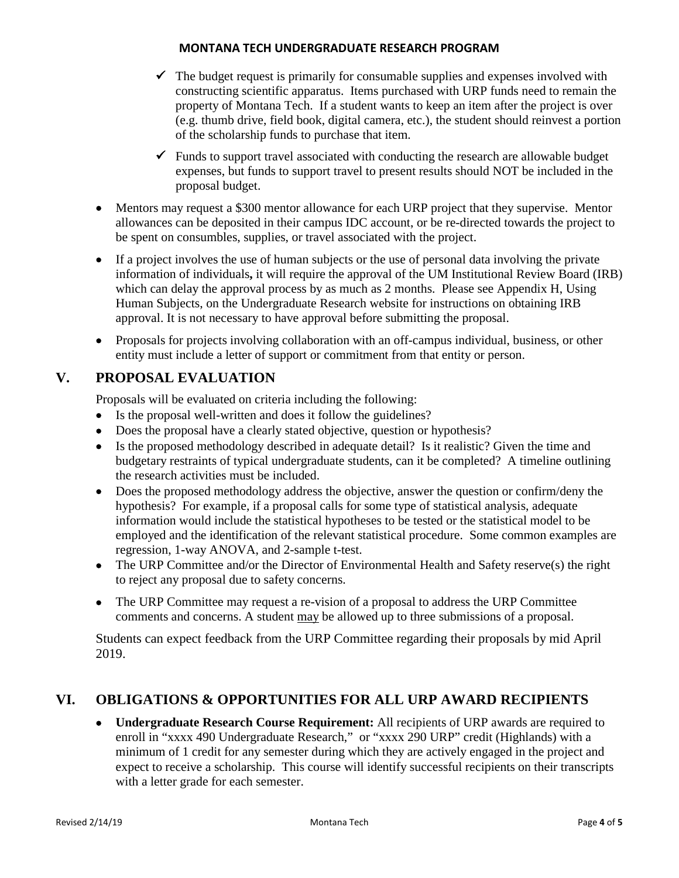- $\checkmark$  The budget request is primarily for consumable supplies and expenses involved with constructing scientific apparatus. Items purchased with URP funds need to remain the property of Montana Tech. If a student wants to keep an item after the project is over (e.g. thumb drive, field book, digital camera, etc.), the student should reinvest a portion of the scholarship funds to purchase that item.
- $\checkmark$  Funds to support travel associated with conducting the research are allowable budget expenses, but funds to support travel to present results should NOT be included in the proposal budget.
- Mentors may request a \$300 mentor allowance for each URP project that they supervise. Mentor allowances can be deposited in their campus IDC account, or be re-directed towards the project to be spent on consumbles, supplies, or travel associated with the project.
- If a project involves the use of human subjects or the use of personal data involving the private information of individuals**,** it will require the approval of the UM Institutional Review Board (IRB) which can delay the approval process by as much as 2 months. Please see Appendix H, Using Human Subjects, on the Undergraduate Research website for instructions on obtaining IRB approval. It is not necessary to have approval before submitting the proposal.
- Proposals for projects involving collaboration with an off-campus individual, business, or other entity must include a letter of support or commitment from that entity or person.

# **V. PROPOSAL EVALUATION**

Proposals will be evaluated on criteria including the following:

- Is the proposal well-written and does it follow the guidelines?
- Does the proposal have a clearly stated objective, question or hypothesis?
- Is the proposed methodology described in adequate detail?Is it realistic? Given the time and budgetary restraints of typical undergraduate students, can it be completed? A timeline outlining the research activities must be included.
- Does the proposed methodology address the objective, answer the question or confirm/deny the hypothesis? For example, if a proposal calls for some type of statistical analysis, adequate information would include the statistical hypotheses to be tested or the statistical model to be employed and the identification of the relevant statistical procedure. Some common examples are regression, 1-way ANOVA, and 2-sample t-test.
- The URP Committee and/or the Director of Environmental Health and Safety reserve(s) the right to reject any proposal due to safety concerns.
- The URP Committee may request a re-vision of a proposal to address the URP Committee comments and concerns. A student may be allowed up to three submissions of a proposal.

Students can expect feedback from the URP Committee regarding their proposals by mid April 2019.

### **VI. OBLIGATIONS & OPPORTUNITIES FOR ALL URP AWARD RECIPIENTS**

• **Undergraduate Research Course Requirement:** All recipients of URP awards are required to enroll in "xxxx 490 Undergraduate Research," or "xxxx 290 URP" credit (Highlands) with a minimum of 1 credit for any semester during which they are actively engaged in the project and expect to receive a scholarship. This course will identify successful recipients on their transcripts with a letter grade for each semester.